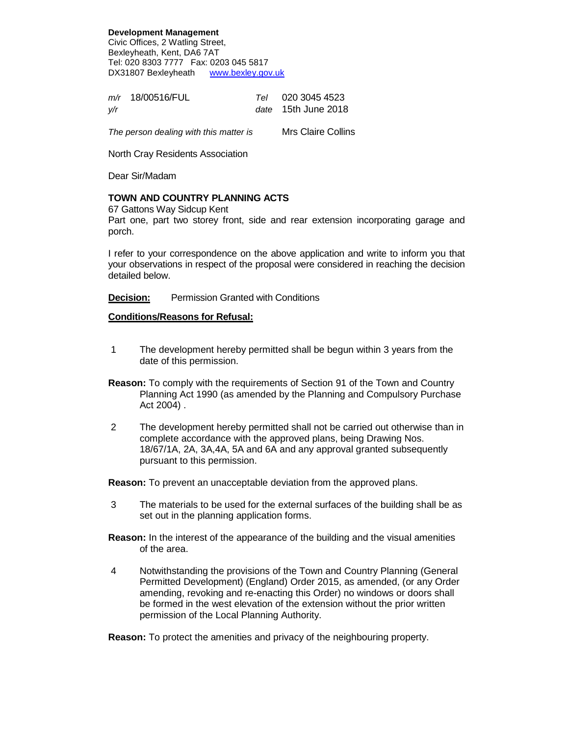**Development Management** Civic Offices, 2 Watling Street, Bexleyheath, Kent, DA6 7AT Tel: 020 8303 7777 Fax: 0203 045 5817 DX31807 Bexleyheath www.bexley.gov.uk

|     | $m/r$ 18/00516/FUL | Tel 020 3045 4523   |
|-----|--------------------|---------------------|
| y/r |                    | date 15th June 2018 |

The person dealing with this matter is Mrs Claire Collins

North Cray Residents Association

Dear Sir/Madam

## **TOWN AND COUNTRY PLANNING ACTS**

67 Gattons Way Sidcup Kent

Part one, part two storey front, side and rear extension incorporating garage and porch.

I refer to your correspondence on the above application and write to inform you that your observations in respect of the proposal were considered in reaching the decision detailed below.

**Decision:** Permission Granted with Conditions

## **Conditions/Reasons for Refusal:**

- 1 The development hereby permitted shall be begun within 3 years from the date of this permission.
- **Reason:** To comply with the requirements of Section 91 of the Town and Country Planning Act 1990 (as amended by the Planning and Compulsory Purchase Act 2004) .
- 2 The development hereby permitted shall not be carried out otherwise than in complete accordance with the approved plans, being Drawing Nos. 18/67/1A, 2A, 3A,4A, 5A and 6A and any approval granted subsequently pursuant to this permission.

**Reason:** To prevent an unacceptable deviation from the approved plans.

- 3 The materials to be used for the external surfaces of the building shall be as set out in the planning application forms.
- **Reason:** In the interest of the appearance of the building and the visual amenities of the area.
- 4 Notwithstanding the provisions of the Town and Country Planning (General Permitted Development) (England) Order 2015, as amended, (or any Order amending, revoking and re-enacting this Order) no windows or doors shall be formed in the west elevation of the extension without the prior written permission of the Local Planning Authority.

**Reason:** To protect the amenities and privacy of the neighbouring property.